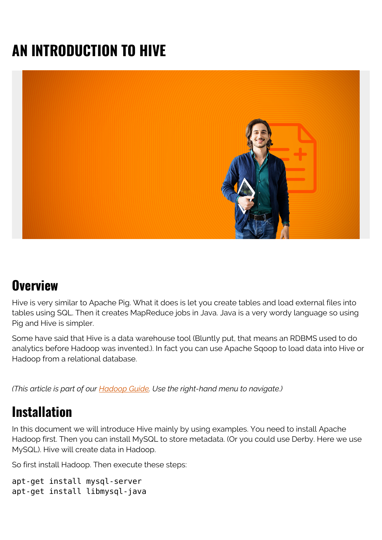# **AN INTRODUCTION TO HIVE**



#### **Overview**

Hive is very similar to Apache Pig. What it does is let you create tables and load external files into tables using SQL. Then it creates MapReduce jobs in Java. Java is a very wordy language so using Pig and Hive is simpler.

Some have said that Hive is a data warehouse tool (Bluntly put, that means an RDBMS used to do analytics before Hadoop was invented.). In fact you can use Apache Sqoop to load data into Hive or Hadoop from a relational database.

*(This article is part of our [Hadoop Guide](https://blogs.bmc.com/blogs/hadoop-introduction/). Use the right-hand menu to navigate.)*

### **Installation**

In this document we will introduce Hive mainly by using examples. You need to install Apache Hadoop first. Then you can install MySQL to store metadata. (Or you could use Derby. Here we use MySQL). Hive will create data in Hadoop.

So first install Hadoop. Then execute these steps:

```
apt-get install mysql-server
apt-get install libmysql-java
```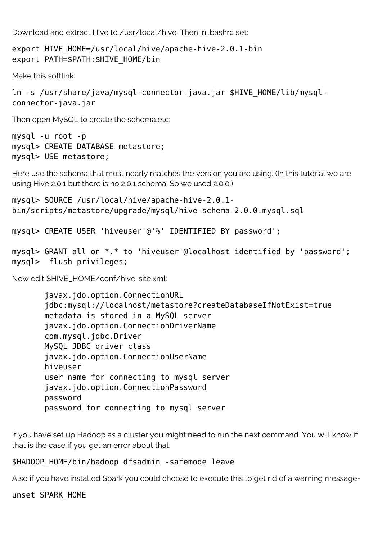Download and extract Hive to /usr/local/hive. Then in .bashrc set:

```
export HIVE HOME=/usr/local/hive/apache-hive-2.0.1-bin
export PATH=$PATH:$HIVE_HOME/bin
```
Make this softlink:

```
ln -s /usr/share/java/mysql-connector-java.jar $HIVE_HOME/lib/mysql-
connector-java.jar
```
Then open MySQL to create the schema,etc:

```
mysql -u root -p
mysql> CREATE DATABASE metastore;
mysql> USE metastore;
```
Here use the schema that most nearly matches the version you are using. (In this tutorial we are using Hive 2.0.1 but there is no 2.0.1 schema. So we used 2.0.0.)

```
mysql> SOURCE /usr/local/hive/apache-hive-2.0.1-
bin/scripts/metastore/upgrade/mysql/hive-schema-2.0.0.mysql.sql
```
mysql> CREATE USER 'hiveuser'@'%' IDENTIFIED BY password';

```
mysql> GRANT all on *.* to 'hiveuser'@localhost identified by 'password';
mysql> flush privileges;
```
Now edit \$HIVE\_HOME/conf/hive-site.xml:

 javax.jdo.option.ConnectionURL jdbc:mysql://localhost/metastore?createDatabaseIfNotExist=true metadata is stored in a MySQL server javax.jdo.option.ConnectionDriverName com.mysql.jdbc.Driver MySQL JDBC driver class javax.jdo.option.ConnectionUserName hiveuser user name for connecting to mysql server javax.jdo.option.ConnectionPassword password password for connecting to mysql server

If you have set up Hadoop as a cluster you might need to run the next command. You will know if that is the case if you get an error about that.

#### \$HADOOP HOME/bin/hadoop dfsadmin -safemode leave

Also if you have installed Spark you could choose to execute this to get rid of a warning message-

unset SPARK\_HOME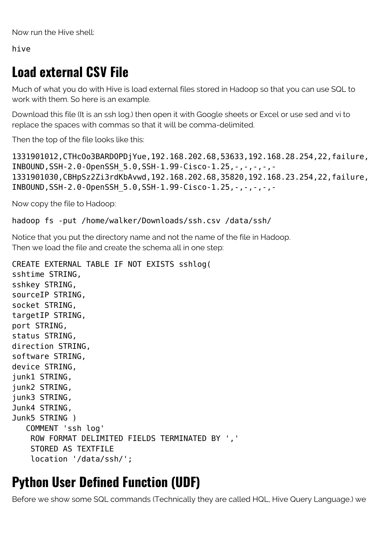Now run the Hive shell:

hive

# **Load external CSV File**

Much of what you do with Hive is load external files stored in Hadoop so that you can use SQL to work with them. So here is an example.

Download this file (It is an ssh log.) then open it with Google sheets or Excel or use sed and vi to replace the spaces with commas so that it will be comma-delimited.

Then the top of the file looks like this:

1331901012,CTHcOo3BARDOPDjYue,192.168.202.68,53633,192.168.28.254,22,failure, INBOUND,SSH-2.0-OpenSSH\_5.0,SSH-1.99-Cisco-1.25,-,-,-,-,- 1331901030,CBHpSz2Zi3rdKbAvwd,192.168.202.68,35820,192.168.23.254,22,failure, INBOUND, SSH-2.0-OpenSSH 5.0,SSH-1.99-Cisco-1.25,-,-,-,-,-

Now copy the file to Hadoop:

hadoop fs -put /home/walker/Downloads/ssh.csv /data/ssh/

Notice that you put the directory name and not the name of the file in Hadoop. Then we load the file and create the schema all in one step:

```
CREATE EXTERNAL TABLE IF NOT EXISTS sshlog(
sshtime STRING,
sshkey STRING,
sourceIP STRING,
socket STRING,
targetIP STRING,
port STRING,
status STRING,
direction STRING,
software STRING,
device STRING,
junk1 STRING,
junk2 STRING,
junk3 STRING,
Junk4 STRING,
Junk5 STRING )
    COMMENT 'ssh log'
     ROW FORMAT DELIMITED FIELDS TERMINATED BY ','
     STORED AS TEXTFILE
     location '/data/ssh/';
```
#### **Python User Defined Function (UDF)**

Before we show some SQL commands (Technically they are called HQL, Hive Query Language.) we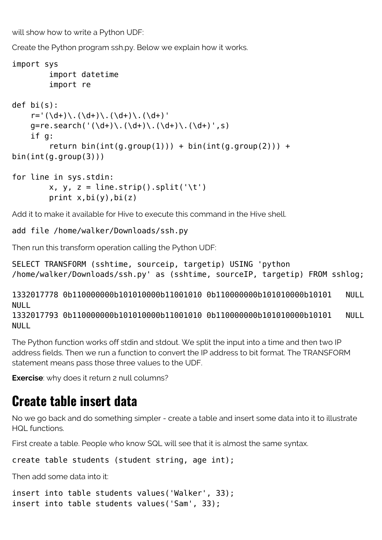will show how to write a Python UDF:

Create the Python program ssh.py. Below we explain how it works.

```
import sys
          import datetime
          import re
def bi(s):
    r= '(\d+)) \cdot (\d+)) \cdot (\d+)) \cdot (\d+)) \cdot (d+)g=re.search('(\d+)\.(\d+)\.(\d+)\.(\d+)',s)
     if g:
         return bin(int(g.group(1))) + bin(int(g.group(2))) +bin(int(g.group(3)))
for line in sys.stdin:
         x, y, z = line . strip(.split('\t')
```
print  $x$ ,  $bi(y)$ ,  $bi(z)$ 

Add it to make it available for Hive to execute this command in the Hive shell.

add file /home/walker/Downloads/ssh.py

Then run this transform operation calling the Python UDF:

SELECT TRANSFORM (sshtime, sourceip, targetip) USING 'python /home/walker/Downloads/ssh.py' as (sshtime, sourceIP, targetip) FROM sshlog;

1332017778 0b110000000b101010000b11001010 0b110000000b101010000b10101 NULL NULL

1332017793 0b110000000b101010000b11001010 0b110000000b101010000b10101 NULL NULL

The Python function works off stdin and stdout. We split the input into a time and then two IP address fields. Then we run a function to convert the IP address to bit format. The TRANSFORM statement means pass those three values to the UDF.

**Exercise**: why does it return 2 null columns?

#### **Create table insert data**

No we go back and do something simpler - create a table and insert some data into it to illustrate HQL functions.

First create a table. People who know SQL will see that it is almost the same syntax.

create table students (student string, age int);

Then add some data into it:

```
insert into table students values('Walker', 33);
insert into table students values('Sam', 33);
```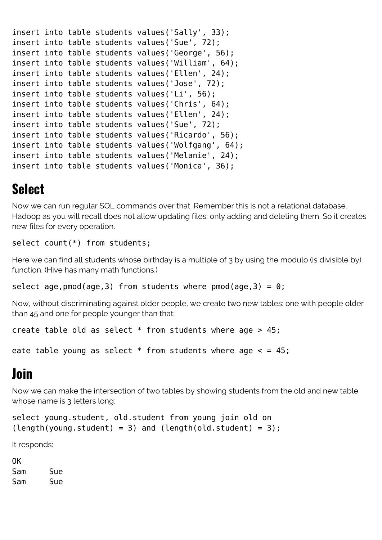```
insert into table students values('Sally', 33);
insert into table students values('Sue', 72);
insert into table students values('George', 56);
insert into table students values('William', 64);
insert into table students values('Ellen', 24);
insert into table students values('Jose', 72);
insert into table students values('Li', 56);
insert into table students values('Chris', 64);
insert into table students values('Ellen', 24);
insert into table students values('Sue', 72);
insert into table students values('Ricardo', 56);
insert into table students values('Wolfgang', 64);
insert into table students values('Melanie', 24);
insert into table students values('Monica', 36);
```
## **Select**

Now we can run regular SQL commands over that. Remember this is not a relational database. Hadoop as you will recall does not allow updating files: only adding and deleting them. So it creates new files for every operation.

select count(\*) from students;

Here we can find all students whose birthday is a multiple of 3 by using the modulo (is divisible by) function. (Hive has many math functions.)

```
select age, pmod(age,3) from students where pmod(age,3) = 0;
```
Now, without discriminating against older people, we create two new tables: one with people older than 45 and one for people younger than that:

```
create table old as select * from students where age > 45;
```

```
eate table young as select * from students where age < = 45;
```
# **Join**

Now we can make the intersection of two tables by showing students from the old and new table whose name is 3 letters long:

```
select young.student, old.student from young join old on
(length(young.student) = 3) and (length(old.student) = 3);
```
It responds:

OK Sam Sue Sam Sue